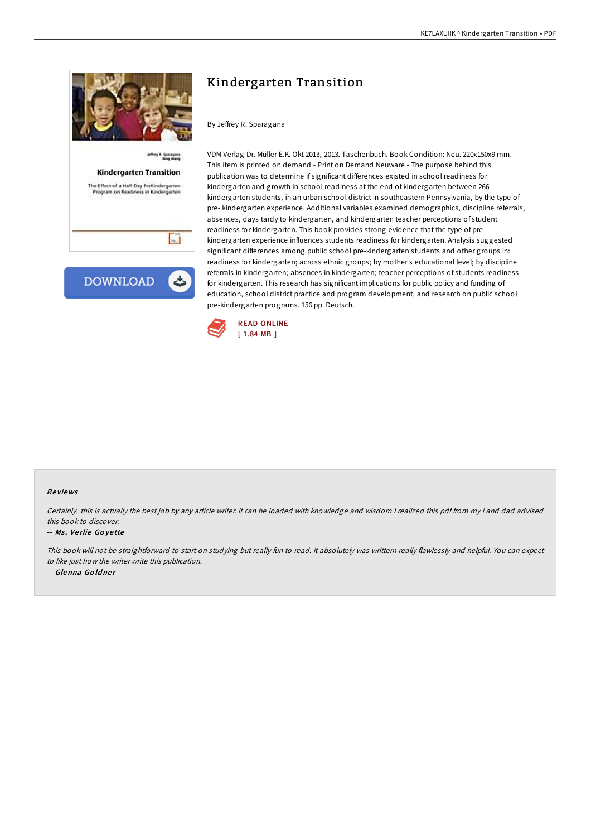

# Kindergarten Transition

By Jeffrey R. Sparagana

VDM Verlag Dr. Müller E.K. Okt 2013, 2013. Taschenbuch. Book Condition: Neu. 220x150x9 mm. This item is printed on demand - Print on Demand Neuware - The purpose behind this publication was to determine if significant differences existed in school readiness for kindergarten and growth in school readiness at the end of kindergarten between 266 kindergarten students, in an urban school district in southeastern Pennsylvania, by the type of pre- kindergarten experience. Additional variables examined demographics, discipline referrals, absences, days tardy to kindergarten, and kindergarten teacher perceptions of student readiness for kindergarten. This book provides strong evidence that the type of prekindergarten experience influences students readiness for kindergarten. Analysis suggested significant differences among public school pre-kindergarten students and other groups in: readiness for kindergarten; across ethnic groups; by mother s educational level; by discipline referrals in kindergarten; absences in kindergarten; teacher perceptions of students readiness for kindergarten. This research has significant implications for public policy and funding of education, school district practice and program development, and research on public school pre-kindergarten programs. 156 pp. Deutsch.



### Re views

Certainly, this is actually the best job by any article writer. It can be loaded with knowledge and wisdom <sup>I</sup> realized this pdf from my i and dad advised this book to discover.

#### -- Ms. Verlie Goyette

This book will not be straightforward to start on studying but really fun to read. it absolutely was writtern really flawlessly and helpful. You can expect to like just how the writer write this publication.

-- Glenna Goldner